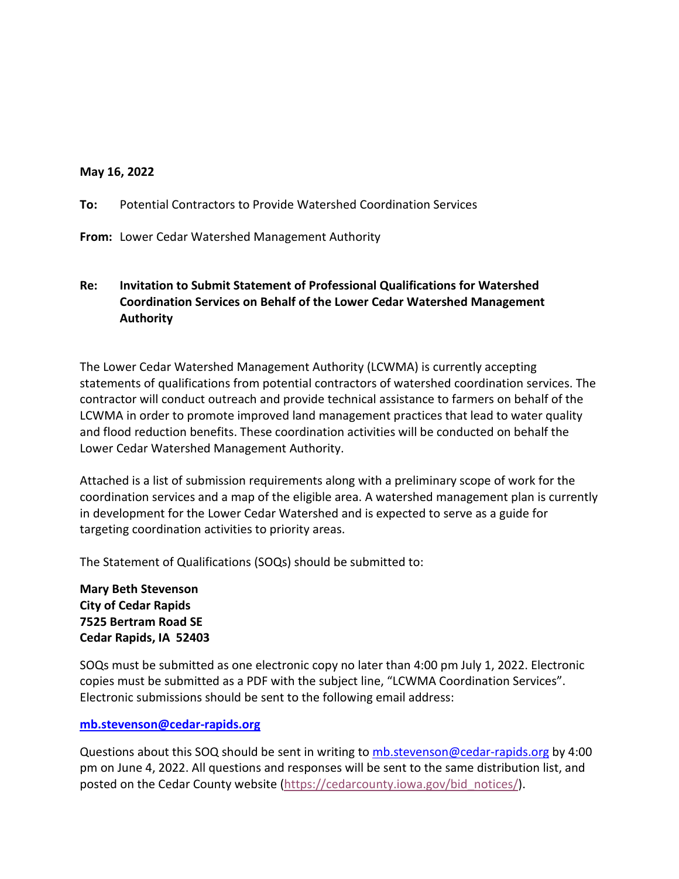#### **May 16, 2022**

**To:** Potential Contractors to Provide Watershed Coordination Services

**From:** Lower Cedar Watershed Management Authority

# **Re: Invitation to Submit Statement of Professional Qualifications for Watershed Coordination Services on Behalf of the Lower Cedar Watershed Management Authority**

The Lower Cedar Watershed Management Authority (LCWMA) is currently accepting statements of qualifications from potential contractors of watershed coordination services. The contractor will conduct outreach and provide technical assistance to farmers on behalf of the LCWMA in order to promote improved land management practices that lead to water quality and flood reduction benefits. These coordination activities will be conducted on behalf the Lower Cedar Watershed Management Authority.

Attached is a list of submission requirements along with a preliminary scope of work for the coordination services and a map of the eligible area. A watershed management plan is currently in development for the Lower Cedar Watershed and is expected to serve as a guide for targeting coordination activities to priority areas.

The Statement of Qualifications (SOQs) should be submitted to:

**Mary Beth Stevenson City of Cedar Rapids 7525 Bertram Road SE Cedar Rapids, IA 52403**

SOQs must be submitted as one electronic copy no later than 4:00 pm July 1, 2022. Electronic copies must be submitted as a PDF with the subject line, "LCWMA Coordination Services". Electronic submissions should be sent to the following email address:

#### **[mb.stevenson@cedar-rapids.org](mailto:mb.stevenson@cedar-rapids.org)**

Questions about this SOQ should be sent in writing to [mb.stevenson@cedar-rapids.org](mailto:mb.stevenson@cedar-rapids.org) by 4:00 pm on June 4, 2022. All questions and responses will be sent to the same distribution list, and posted on the Cedar County website [\(https://cedarcounty.iowa.gov/bid\\_notices/\)](https://cedarcounty.iowa.gov/bid_notices/).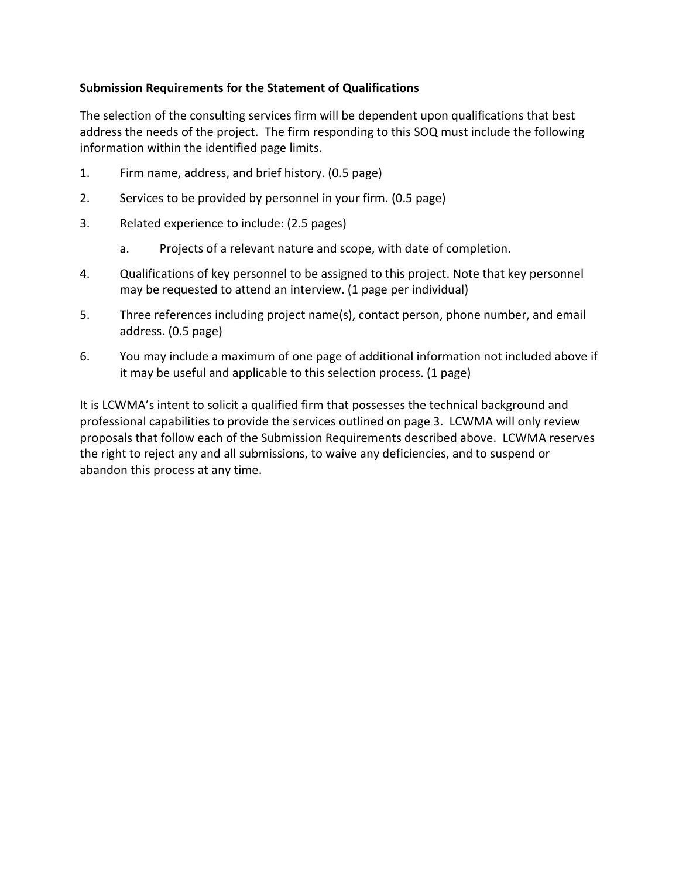# **Submission Requirements for the Statement of Qualifications**

The selection of the consulting services firm will be dependent upon qualifications that best address the needs of the project. The firm responding to this SOQ must include the following information within the identified page limits.

- 1. Firm name, address, and brief history. (0.5 page)
- 2. Services to be provided by personnel in your firm. (0.5 page)
- 3. Related experience to include: (2.5 pages)
	- a. Projects of a relevant nature and scope, with date of completion.
- 4. Qualifications of key personnel to be assigned to this project. Note that key personnel may be requested to attend an interview. (1 page per individual)
- 5. Three references including project name(s), contact person, phone number, and email address. (0.5 page)
- 6. You may include a maximum of one page of additional information not included above if it may be useful and applicable to this selection process. (1 page)

It is LCWMA's intent to solicit a qualified firm that possesses the technical background and professional capabilities to provide the services outlined on page 3. LCWMA will only review proposals that follow each of the Submission Requirements described above. LCWMA reserves the right to reject any and all submissions, to waive any deficiencies, and to suspend or abandon this process at any time.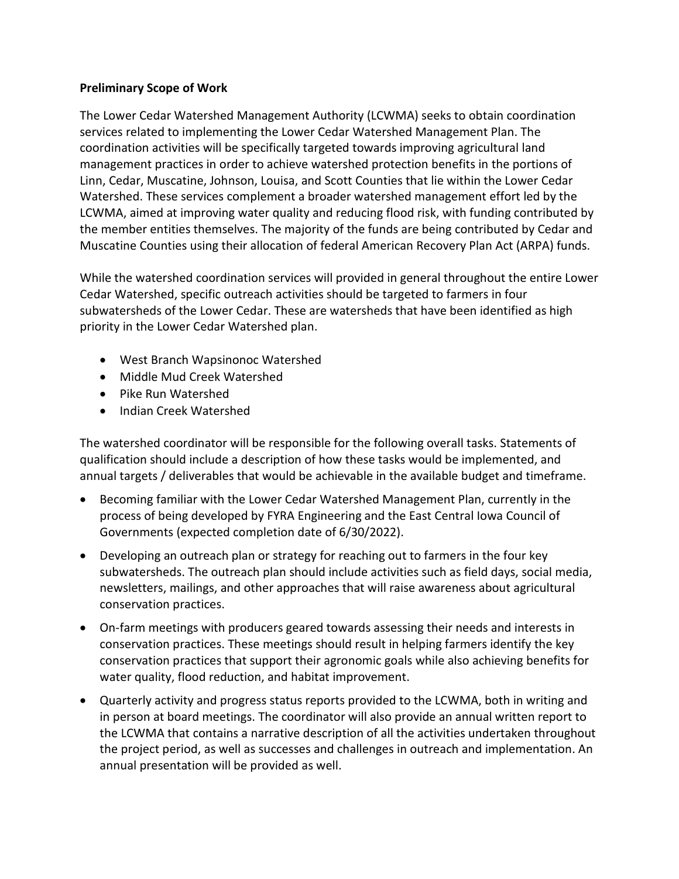## **Preliminary Scope of Work**

The Lower Cedar Watershed Management Authority (LCWMA) seeks to obtain coordination services related to implementing the Lower Cedar Watershed Management Plan. The coordination activities will be specifically targeted towards improving agricultural land management practices in order to achieve watershed protection benefits in the portions of Linn, Cedar, Muscatine, Johnson, Louisa, and Scott Counties that lie within the Lower Cedar Watershed. These services complement a broader watershed management effort led by the LCWMA, aimed at improving water quality and reducing flood risk, with funding contributed by the member entities themselves. The majority of the funds are being contributed by Cedar and Muscatine Counties using their allocation of federal American Recovery Plan Act (ARPA) funds.

While the watershed coordination services will provided in general throughout the entire Lower Cedar Watershed, specific outreach activities should be targeted to farmers in four subwatersheds of the Lower Cedar. These are watersheds that have been identified as high priority in the Lower Cedar Watershed plan.

- West Branch Wapsinonoc Watershed
- Middle Mud Creek Watershed
- Pike Run Watershed
- Indian Creek Watershed

The watershed coordinator will be responsible for the following overall tasks. Statements of qualification should include a description of how these tasks would be implemented, and annual targets / deliverables that would be achievable in the available budget and timeframe.

- Becoming familiar with the Lower Cedar Watershed Management Plan, currently in the process of being developed by FYRA Engineering and the East Central Iowa Council of Governments (expected completion date of 6/30/2022).
- Developing an outreach plan or strategy for reaching out to farmers in the four key subwatersheds. The outreach plan should include activities such as field days, social media, newsletters, mailings, and other approaches that will raise awareness about agricultural conservation practices.
- On-farm meetings with producers geared towards assessing their needs and interests in conservation practices. These meetings should result in helping farmers identify the key conservation practices that support their agronomic goals while also achieving benefits for water quality, flood reduction, and habitat improvement.
- Quarterly activity and progress status reports provided to the LCWMA, both in writing and in person at board meetings. The coordinator will also provide an annual written report to the LCWMA that contains a narrative description of all the activities undertaken throughout the project period, as well as successes and challenges in outreach and implementation. An annual presentation will be provided as well.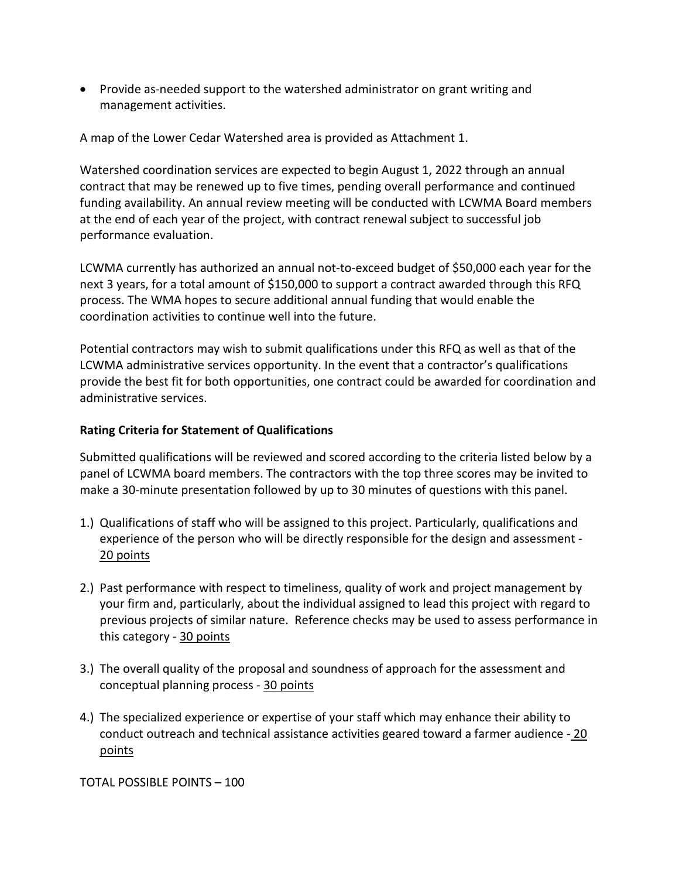• Provide as-needed support to the watershed administrator on grant writing and management activities.

A map of the Lower Cedar Watershed area is provided as Attachment 1.

Watershed coordination services are expected to begin August 1, 2022 through an annual contract that may be renewed up to five times, pending overall performance and continued funding availability. An annual review meeting will be conducted with LCWMA Board members at the end of each year of the project, with contract renewal subject to successful job performance evaluation.

LCWMA currently has authorized an annual not-to-exceed budget of \$50,000 each year for the next 3 years, for a total amount of \$150,000 to support a contract awarded through this RFQ process. The WMA hopes to secure additional annual funding that would enable the coordination activities to continue well into the future.

Potential contractors may wish to submit qualifications under this RFQ as well as that of the LCWMA administrative services opportunity. In the event that a contractor's qualifications provide the best fit for both opportunities, one contract could be awarded for coordination and administrative services.

## **Rating Criteria for Statement of Qualifications**

Submitted qualifications will be reviewed and scored according to the criteria listed below by a panel of LCWMA board members. The contractors with the top three scores may be invited to make a 30-minute presentation followed by up to 30 minutes of questions with this panel.

- 1.) Qualifications of staff who will be assigned to this project. Particularly, qualifications and experience of the person who will be directly responsible for the design and assessment - 20 points
- 2.) Past performance with respect to timeliness, quality of work and project management by your firm and, particularly, about the individual assigned to lead this project with regard to previous projects of similar nature. Reference checks may be used to assess performance in this category - 30 points
- 3.) The overall quality of the proposal and soundness of approach for the assessment and conceptual planning process - 30 points
- 4.) The specialized experience or expertise of your staff which may enhance their ability to conduct outreach and technical assistance activities geared toward a farmer audience - 20 points

TOTAL POSSIBLE POINTS – 100